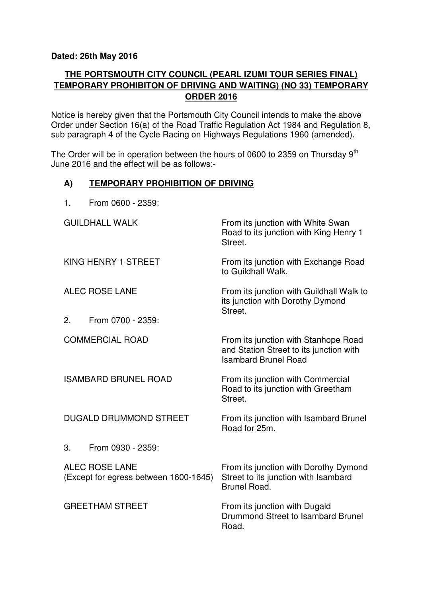#### **Dated: 26th May 2016**

# **THE PORTSMOUTH CITY COUNCIL (PEARL IZUMI TOUR SERIES FINAL) TEMPORARY PROHIBITON OF DRIVING AND WAITING) (NO 33) TEMPORARY ORDER 2016**

Notice is hereby given that the Portsmouth City Council intends to make the above Order under Section 16(a) of the Road Traffic Regulation Act 1984 and Regulation 8, sub paragraph 4 of the Cycle Racing on Highways Regulations 1960 (amended).

The Order will be in operation between the hours of 0600 to 2359 on Thursday 9<sup>th</sup> June 2016 and the effect will be as follows:-

### **A) TEMPORARY PROHIBITION OF DRIVING**

| 1. | From 0600 - 2359: |
|----|-------------------|
|----|-------------------|

| <b>GUILDHALL WALK</b>                                          | From its junction with White Swan<br>Road to its junction with King Henry 1<br>Street.                         |
|----------------------------------------------------------------|----------------------------------------------------------------------------------------------------------------|
| KING HENRY 1 STREET                                            | From its junction with Exchange Road<br>to Guildhall Walk.                                                     |
| <b>ALEC ROSE LANE</b>                                          | From its junction with Guildhall Walk to<br>its junction with Dorothy Dymond<br>Street.                        |
| From 0700 - 2359:<br>2.                                        |                                                                                                                |
| <b>COMMERCIAL ROAD</b>                                         | From its junction with Stanhope Road<br>and Station Street to its junction with<br><b>Isambard Brunel Road</b> |
| <b>ISAMBARD BRUNEL ROAD</b>                                    | From its junction with Commercial<br>Road to its junction with Greetham<br>Street.                             |
| <b>DUGALD DRUMMOND STREET</b>                                  | From its junction with Isambard Brunel<br>Road for 25m.                                                        |
| From 0930 - 2359:<br>3.                                        |                                                                                                                |
| <b>ALEC ROSE LANE</b><br>(Except for egress between 1600-1645) | From its junction with Dorothy Dymond<br>Street to its junction with Isambard<br><b>Brunel Road.</b>           |
| <b>GREETHAM STREET</b>                                         | From its junction with Dugald<br>Drummond Street to Isambard Brunel<br>Road.                                   |